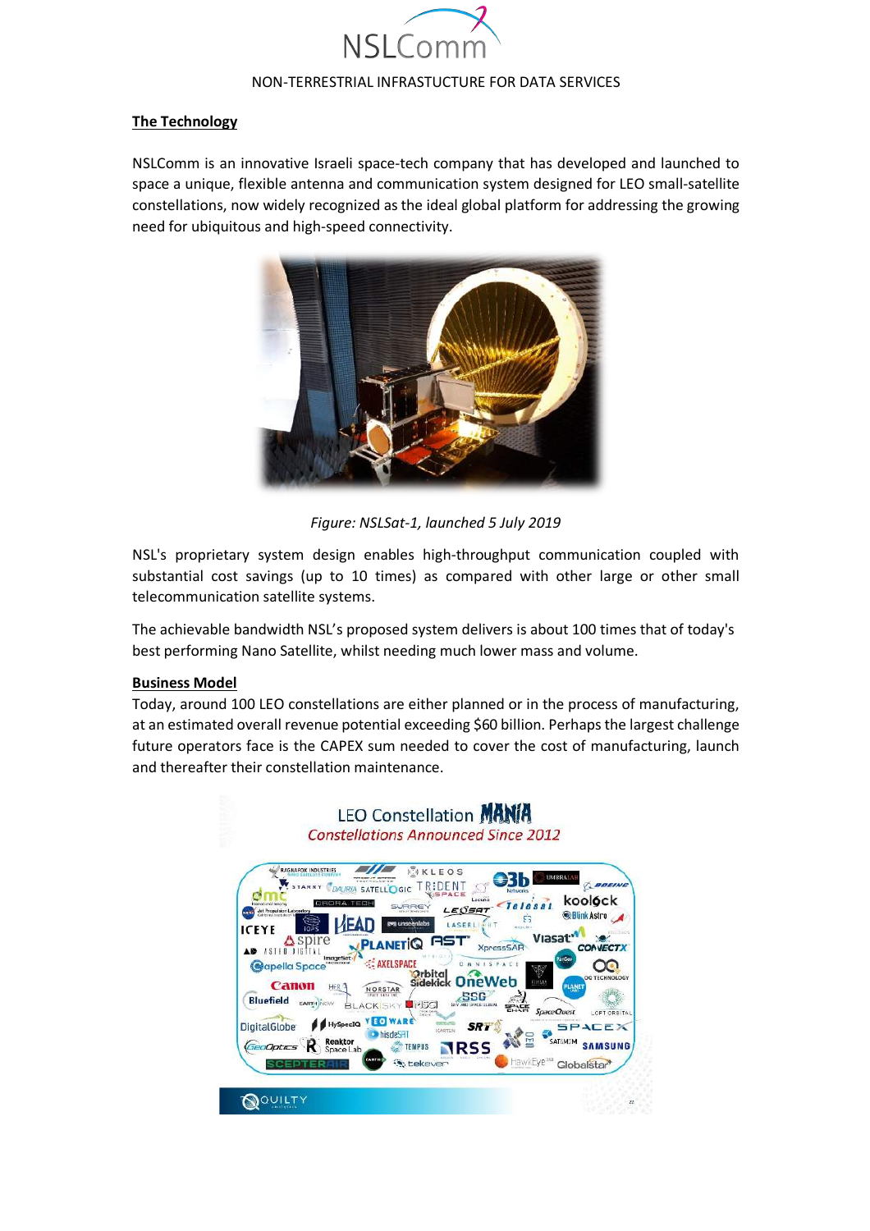

### **The Technology**

NSLComm is an innovative Israeli space-tech company that has developed and launched to space a unique, flexible antenna and communication system designed for LEO small-satellite constellations, now widely recognized as the ideal global platform for addressing the growing need for ubiquitous and high-speed connectivity.



*Figure: NSLSat-1, launched 5 July 2019*

NSL's proprietary system design enables high-throughput communication coupled with substantial cost savings (up to 10 times) as compared with other large or other small telecommunication satellite systems.

The achievable bandwidth NSL's proposed system delivers is about 100 times that of today's best performing Nano Satellite, whilst needing much lower mass and volume.

### **Business Model**

Today, around 100 LEO constellations are either planned or in the process of manufacturing, at an estimated overall revenue potential exceeding \$60 billion. Perhaps the largest challenge future operators face is the CAPEX sum needed to cover the cost of manufacturing, launch and thereafter their constellation maintenance.